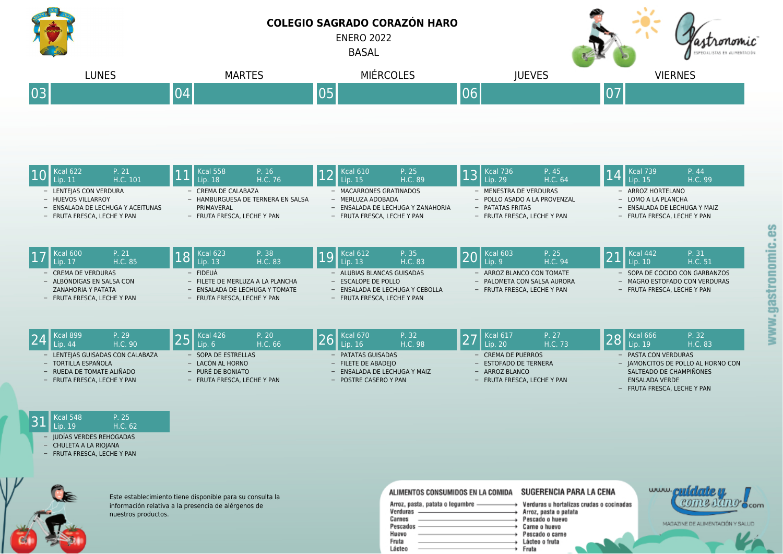

|                                  | <b>Kcal 899</b>             | P. 29<br>H.C. 90    |                             | $\blacktriangleright$ <b>I</b> Kcal 426<br>Lip. 6 | P. 20<br>H.C. 66        | Kcal 670<br>Lip. 16   | P. 32<br>H.C. 98            |                                    | $\overline{\phantom{0}}$ Kcal 617<br>Lip. 20 | P. 27<br>H.C. 73 | $\bigcirc$ Cal 666<br>Lip. 19 | P. 32<br>H.C. 83 |
|----------------------------------|-----------------------------|---------------------|-----------------------------|---------------------------------------------------|-------------------------|-----------------------|-----------------------------|------------------------------------|----------------------------------------------|------------------|-------------------------------|------------------|
| - LENTEJAS GUISADAS CON CALABAZA |                             | - SOPA DE ESTRELLAS |                             | - PATATAS GUISADAS                                |                         | - CREMA DE PUERROS    |                             | - PASTA CON VERDURAS               |                                              |                  |                               |                  |
| - TORTILLA ESPAÑOLA              |                             | - LACÓN AL HORNO    |                             | $-$ FILETE DE ABADEIO                             |                         | - ESTOFADO DE TERNERA |                             | - JAMONCITOS DE POLLO AL HORNO CON |                                              |                  |                               |                  |
| $-$ RUEDA DE TOMATE ALIÑADO      |                             | - PURÉ DE BONIATO   |                             | - ENSALADA DE LECHUGA Y MAIZ                      |                         | - ARROZ BLANCO        |                             | SALTEADO DE CHAMPIÑONES            |                                              |                  |                               |                  |
|                                  | - FRUTA FRESCA. LECHE Y PAN |                     | - FRUTA FRESCA. LECHE Y PAN |                                                   | $-$ POSTRE CASERO Y PAN |                       | - FRUTA FRESCA, LECHE Y PAN |                                    | ENSALADA VERDE                               |                  |                               |                  |
|                                  |                             |                     |                             |                                                   |                         |                       |                             |                                    |                                              |                  | - FRUTA FRESCA, LECHE Y PAN   |                  |

## $31 \, \frac{\text{Kcal 548}}{\text{Lip. 19}} \quad \frac{\text{P. 25}}{\text{H.C. 6}}$ H.C. 62

- IUDÍAS VERDES REHOGADAS CHULETA A LA RIOJANA
- FRUTA FRESCA, LECHE Y PAN
- 



Este establecimiento tiene disponible para su consulta la información relativa a la presencia de alérgenos de nuestros productos.

## ALIMENTOS CONSUMIDOS EN LA COMIDA SUGERENCIA PARA LA CENA

| Arroz, pasta, patata o legumbre | Verduras u horta |
|---------------------------------|------------------|
| Verduras                        | Arroz, pasta o p |
| Carnes                          | Pescado o huev   |
| Pescados                        | Carne o huevo    |
| Huevo                           | Pescado o carno  |
| Fruta                           | Lácteo o fruta   |
| Lácteo                          | Fruta            |



talizas crudas o cocinadas atata 0W IG.